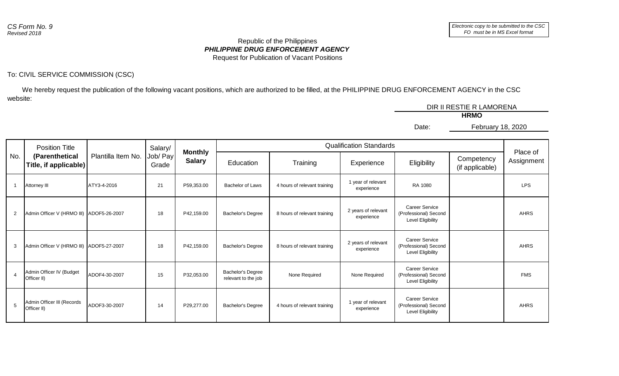## *PHILIPPINE DRUG ENFORCEMENT AGENCY* Republic of the Philippines Request for Publication of Vacant Positions

## To: CIVIL SERVICE COMMISSION (CSC)

 We hereby request the publication of the following vacant positions, which are authorized to be filled, at the PHILIPPINE DRUG ENFORCEMENT AGENCY in the CSC website:

|  |  | DIR II RESTIE R LAMORENA |                   |  |  |  |
|--|--|--------------------------|-------------------|--|--|--|
|  |  | <b>HRMO</b>              |                   |  |  |  |
|  |  | Date:                    | February 18, 2020 |  |  |  |
|  |  |                          |                   |  |  |  |
|  |  |                          |                   |  |  |  |

| No. | <b>Position Title</b><br>(Parenthetical<br>Title, if applicable) | Plantilla Item No. | Salary/           | <b>Monthly</b><br><b>Salary</b> | <b>Qualification Standards</b>           |                              |                                   |                                                                     |                               |                        |
|-----|------------------------------------------------------------------|--------------------|-------------------|---------------------------------|------------------------------------------|------------------------------|-----------------------------------|---------------------------------------------------------------------|-------------------------------|------------------------|
|     |                                                                  |                    | Job/ Pay<br>Grade |                                 | Education                                | Training                     | Experience                        | Eligibility                                                         | Competency<br>(if applicable) | Place of<br>Assignment |
|     | Attorney III                                                     | ATY3-4-2016        | 21                | P59,353.00                      | <b>Bachelor of Laws</b>                  | 4 hours of relevant training | 1 year of relevant<br>experience  | RA 1080                                                             |                               | <b>LPS</b>             |
| 2   | Admin Officer V (HRMO III) ADOF5-26-2007                         |                    | 18                | P42,159.00                      | <b>Bachelor's Degree</b>                 | 8 hours of relevant training | 2 years of relevant<br>experience | <b>Career Service</b><br>(Professional) Second<br>Level Eligibility |                               | <b>AHRS</b>            |
| 3   | Admin Officer V (HRMO III) ADOF5-27-2007                         |                    | 18                | P42,159.00                      | <b>Bachelor's Degree</b>                 | 8 hours of relevant training | 2 years of relevant<br>experience | <b>Career Service</b><br>(Professional) Second<br>Level Eligibility |                               | <b>AHRS</b>            |
|     | Admin Officer IV (Budget<br>Officer II)                          | ADOF4-30-2007      | 15                | P32,053.00                      | Bachelor's Degree<br>relevant to the job | None Required                | None Required                     | <b>Career Service</b><br>(Professional) Second<br>Level Eligibility |                               | <b>FMS</b>             |
| 5   | Admin Officer III (Records<br>Officer II)                        | ADOF3-30-2007      | 14                | P29,277.00                      | <b>Bachelor's Degree</b>                 | 4 hours of relevant training | 1 year of relevant<br>experience  | <b>Career Service</b><br>(Professional) Second<br>Level Eligibility |                               | <b>AHRS</b>            |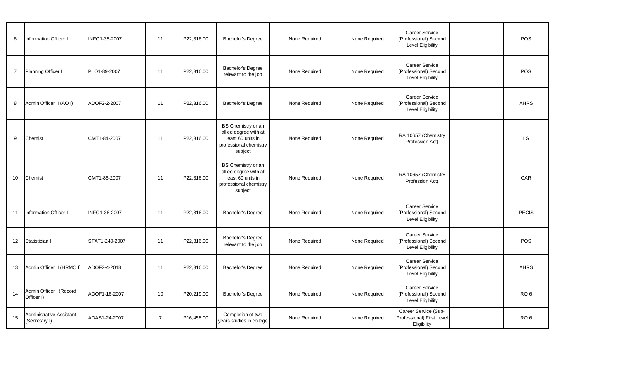| 6              | Information Officer I                       | INFO1-35-2007  | 11             | P22,316.00 | Bachelor's Degree                                                                                     | None Required | None Required | <b>Career Service</b><br>(Professional) Second<br><b>Level Eligibility</b> | <b>POS</b>      |
|----------------|---------------------------------------------|----------------|----------------|------------|-------------------------------------------------------------------------------------------------------|---------------|---------------|----------------------------------------------------------------------------|-----------------|
| $\overline{7}$ | Planning Officer I                          | PLO1-89-2007   | 11             | P22,316.00 | Bachelor's Degree<br>relevant to the job                                                              | None Required | None Required | <b>Career Service</b><br>(Professional) Second<br><b>Level Eligibility</b> | POS             |
| 8              | Admin Officer II (AO I)                     | ADOF2-2-2007   | 11             | P22,316.00 | <b>Bachelor's Degree</b>                                                                              | None Required | None Required | <b>Career Service</b><br>(Professional) Second<br><b>Level Eligibility</b> | <b>AHRS</b>     |
| 9              | Chemist I                                   | CMT1-84-2007   | 11             | P22,316.00 | BS Chemistry or an<br>allied degree with at<br>least 60 units in<br>professional chemistry<br>subject | None Required | None Required | RA 10657 (Chemistry<br>Profession Act)                                     | LS.             |
| 10             | Chemist I                                   | CMT1-86-2007   | 11             | P22,316.00 | BS Chemistry or an<br>allied degree with at<br>least 60 units in<br>professional chemistry<br>subject | None Required | None Required | RA 10657 (Chemistry<br>Profession Act)                                     | CAR             |
| 11             | Information Officer I                       | INFO1-36-2007  | 11             | P22.316.00 | <b>Bachelor's Degree</b>                                                                              | None Required | None Required | <b>Career Service</b><br>(Professional) Second<br><b>Level Eligibility</b> | <b>PECIS</b>    |
| 12             | Statistician I                              | STAT1-240-2007 | 11             | P22.316.00 | <b>Bachelor's Degree</b><br>relevant to the job                                                       | None Required | None Required | Career Service<br>(Professional) Second<br><b>Level Eligibility</b>        | POS             |
| 13             | Admin Officer II (HRMO I)                   | ADOF2-4-2018   | 11             | P22,316.00 | <b>Bachelor's Degree</b>                                                                              | None Required | None Required | Career Service<br>(Professional) Second<br><b>Level Eligibility</b>        | <b>AHRS</b>     |
| 14             | Admin Officer I (Record<br>Officer I)       | ADOF1-16-2007  | 10             | P20,219.00 | <b>Bachelor's Degree</b>                                                                              | None Required | None Required | Career Service<br>(Professional) Second<br><b>Level Eligibility</b>        | RO <sub>6</sub> |
| 15             | Administrative Assistant I<br>(Secretary I) | ADAS1-24-2007  | $\overline{7}$ | P16,458.00 | Completion of two<br>years studies in college                                                         | None Required | None Required | Career Service (Sub-<br>Professional) First Level<br>Eligibility           | RO <sub>6</sub> |